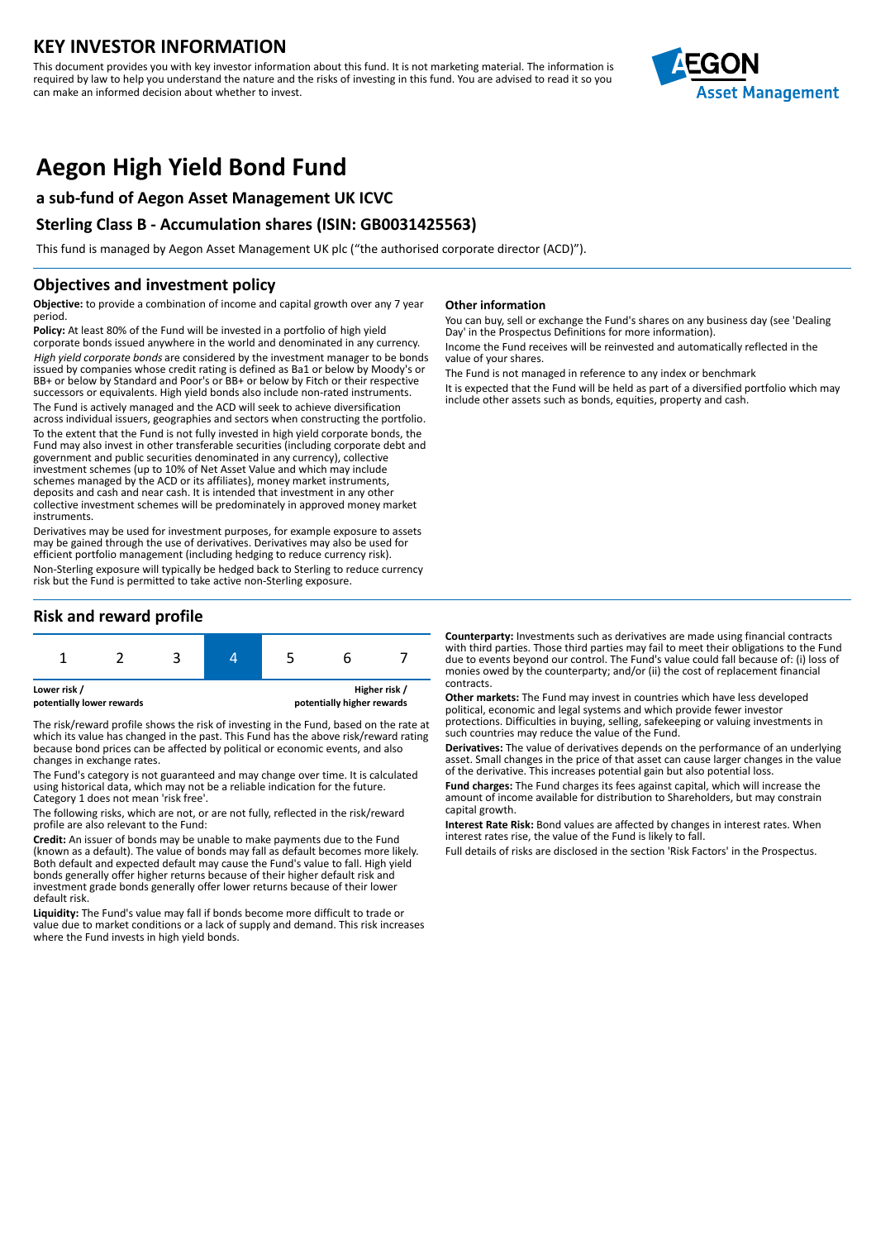## **KEY INVESTOR INFORMATION**

This document provides you with key investor information about this fund. It is not marketing material. The information is required by law to help you understand the nature and the risks of investing in this fund. You are advised to read it so you can make an informed decision about whether to invest.



# **Aegon High Yield Bond Fund**

## **a sub-fund of Aegon Asset Management UK ICVC**

## **Sterling Class B - Accumulation shares (ISIN: GB0031425563)**

This fund is managed by Aegon Asset Management UK plc ("the authorised corporate director (ACD)").

### **Objectives and investment policy**

**Objective:** to provide a combination of income and capital growth over any 7 year period.

**Policy:** At least 80% of the Fund will be invested in a portfolio of high yield corporate bonds issued anywhere in the world and denominated in any currency. High yield corporate bonds are considered by the investment manager to be bonds issued by companies whose credit rating is defined as Ba1 or below by Moody's or BB+ or below by Standard and Poor's or BB+ or below by Fitch or their respective successors or equivalents. High yield bonds also include non-rated instruments. The Fund is actively managed and the ACD will seek to achieve diversification

across individual issuers, geographies and sectors when constructing the portfolio. To the extent that the Fund is not fully invested in high yield corporate bonds, the Fund may also invest in other transferable securities (including corporate debt and government and public securities denominated in any currency), collective investment schemes (up to 10% of Net Asset Value and which may include schemes managed by the ACD or its affiliates), money market instruments, deposits and cash and near cash. It is intended that investment in any other collective investment schemes will be predominately in approved money market instruments.

Derivatives may be used for investment purposes, for example exposure to assets may be gained through the use of derivatives. Derivatives may also be used for efficient portfolio management (including hedging to reduce currency risk). Non-Sterling exposure will typically be hedged back to Sterling to reduce currency risk but the Fund is permitted to take active non-Sterling exposure.

## **Risk and reward profile**



**potentially lower rewards potentially higher rewards**

The risk/reward profile shows the risk of investing in the Fund, based on the rate at which its value has changed in the past. This Fund has the above risk/reward rating because bond prices can be affected by political or economic events, and also changes in exchange rates.

The Fund's category is not guaranteed and may change over time. It is calculated using historical data, which may not be a reliable indication for the future. Category 1 does not mean 'risk free'.

The following risks, which are not, or are not fully, reflected in the risk/reward profile are also relevant to the Fund:

**Credit:** An issuer of bonds may be unable to make payments due to the Fund (known as a default). The value of bonds may fall as default becomes more likely. Both default and expected default may cause the Fund's value to fall. High yield bonds generally offer higher returns because of their higher default risk and investment grade bonds generally offer lower returns because of their lower default risk.

**Liquidity:** The Fund's value may fall if bonds become more difficult to trade or value due to market conditions or a lack of supply and demand. This risk increases where the Fund invests in high yield bonds.

#### **Other information**

You can buy, sell or exchange the Fund's shares on any business day (see 'Dealing Day' in the Prospectus Definitions for more information). Income the Fund receives will be reinvested and automatically reflected in the

value of your shares.

The Fund is not managed in reference to any index or benchmark It is expected that the Fund will be held as part of a diversified portfolio which may include other assets such as bonds, equities, property and cash.

**Counterparty:** Investments such as derivatives are made using financial contracts with third parties. Those third parties may fail to meet their obligations to the Fund due to events beyond our control. The Fund's value could fall because of: (i) loss of monies owed by the counterparty; and/or (ii) the cost of replacement financial contracts.

**Other markets:** The Fund may invest in countries which have less developed political, economic and legal systems and which provide fewer investor protections. Difficulties in buying, selling, safekeeping or valuing investments in such countries may reduce the value of the Fund.

**Derivatives:** The value of derivatives depends on the performance of an underlying asset. Small changes in the price of that asset can cause larger changes in the value of the derivative. This increases potential gain but also potential loss.

**Fund charges:** The Fund charges its fees against capital, which will increase the amount of income available for distribution to Shareholders, but may constrain capital growth.

**Interest Rate Risk:** Bond values are affected by changes in interest rates. When interest rates rise, the value of the Fund is likely to fall.

Full details of risks are disclosed in the section 'Risk Factors' in the Prospectus.